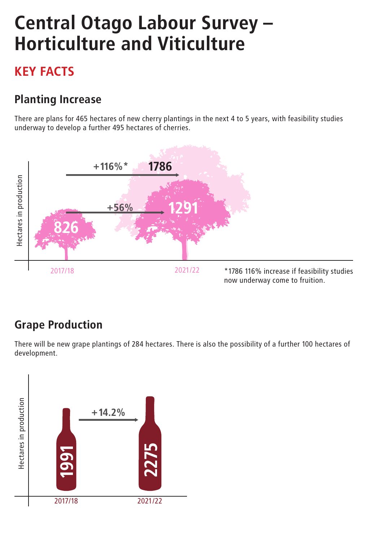# Central Otago Labour Survey – Horticulture and Viticulture

## KEY FACTS

### Planting Increase

There are plans for 465 hectares of new cherry plantings in the next 4 to 5 years, with feasibility studies underway to develop a further 495 hectares of cherries.



### Grape Production

There will be new grape plantings of 284 hectares. There is also the possibility of a further 100 hectares of development.